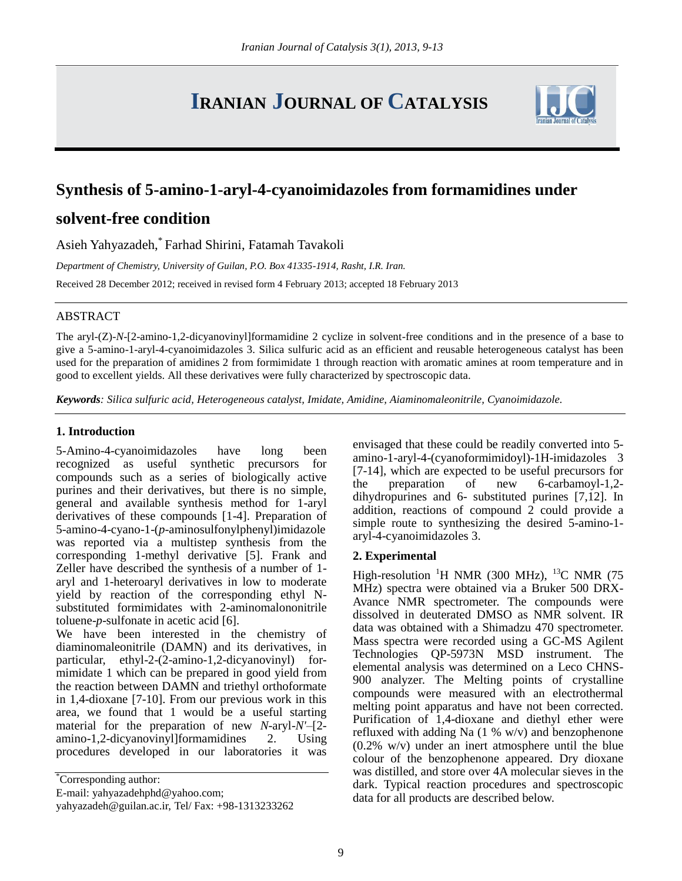# **IRANIAN JOURNAL OF CATALYSIS**



# **Synthesis of 5-amino-1-aryl-4-cyanoimidazoles from formamidines under**

# **solvent-free condition**

Asieh Yahyazadeh, \* Farhad Shirini, Fatamah Tavakoli

*Department of Chemistry, University of Guilan, P.O. Box 41335-1914, Rasht, I.R. Iran.*

Received 28 December 2012; received in revised form 4 February 2013; accepted 18 February 2013

## ABSTRACT

The aryl-(Z)-*N*-[2-amino-1,2-dicyanovinyl]formamidine 2 cyclize in solvent-free conditions and in the presence of a base to give a 5-amino-1-aryl-4-cyanoimidazoles 3. Silica sulfuric acid as an efficient and reusable heterogeneous catalyst has been used for the preparation of amidines 2 from formimidate 1 through reaction with aromatic amines at room temperature and in good to excellent yields. All these derivatives were fully characterized by spectroscopic data.

*Keywords: Silica sulfuric acid, Heterogeneous catalyst, Imidate, Amidine, Aiaminomaleonitrile, Cyanoimidazole.*

## **1. Introduction**

5-Amino-4-cyanoimidazoles have long been recognized as useful synthetic precursors for compounds such as a series of biologically active purines and their derivatives, but there is no simple, general and available synthesis method for 1-aryl derivatives of these compounds [1-4]. Preparation of 5-amino-4-cyano-1-(*p*-aminosulfonylphenyl)imidazole was reported via a multistep synthesis from the corresponding 1-methyl derivative [5]. Frank and Zeller have described the synthesis of a number of 1 aryl and 1-heteroaryl derivatives in low to moderate yield by reaction of the corresponding ethyl Nsubstituted formimidates with 2-aminomalononitrile toluene-*p*-sulfonate in acetic acid [6].

We have been interested in the chemistry of diaminomaleonitrile (DAMN) and its derivatives, in particular, ethyl-2-(2-amino-1,2-dicyanovinyl) formimidate 1 which can be prepared in good yield from the reaction between DAMN and triethyl orthoformate in 1,4-dioxane [7-10]. From our previous work in this area, we found that 1 would be a useful starting material for the preparation of new *N*-aryl-*N'*–[2 amino-1,2-dicyanovinyl]formamidines 2. Using procedures developed in our laboratories it was

E-mail: yahyazadehphd@yahoo.com;

envisaged that these could be readily converted into 5 amino-1-aryl-4-(cyanoformimidoyl)-1H-imidazoles 3 [7-14], which are expected to be useful precursors for the preparation of new 6-carbamoyl-1,2 dihydropurines and 6- substituted purines [7,12]. In addition, reactions of compound  $2$  could provide a simple route to synthesizing the desired 5-amino-1 aryl-4-cyanoimidazoles 3.

### **2. Experimental**

High-resolution <sup>1</sup>H NMR (300 MHz), <sup>13</sup>C NMR (75 MHz) spectra were obtained via a Bruker 500 DRX-Avance NMR spectrometer. The compounds were dissolved in deuterated DMSO as NMR solvent. IR data was obtained with a Shimadzu 470 spectrometer. Mass spectra were recorded using a GC-MS Agilent Technologies QP-5973N MSD instrument. The elemental analysis was determined on a Leco CHNS-900 analyzer. The Melting points of crystalline compounds were measured with an electrothermal melting point apparatus and have not been corrected. Purification of 1,4-dioxane and diethyl ether were refluxed with adding Na (1 % w/v) and benzophenone  $(0.2\%$  w/v) under an inert atmosphere until the blue colour of the benzophenone appeared. Dry dioxane was distilled, and store over 4A molecular sieves in the dark. Typical reaction procedures and spectroscopic data for all products are described below.

<sup>\*</sup>Corresponding author:

yahyazadeh@guilan.ac.ir, Tel/ Fax: +98-1313233262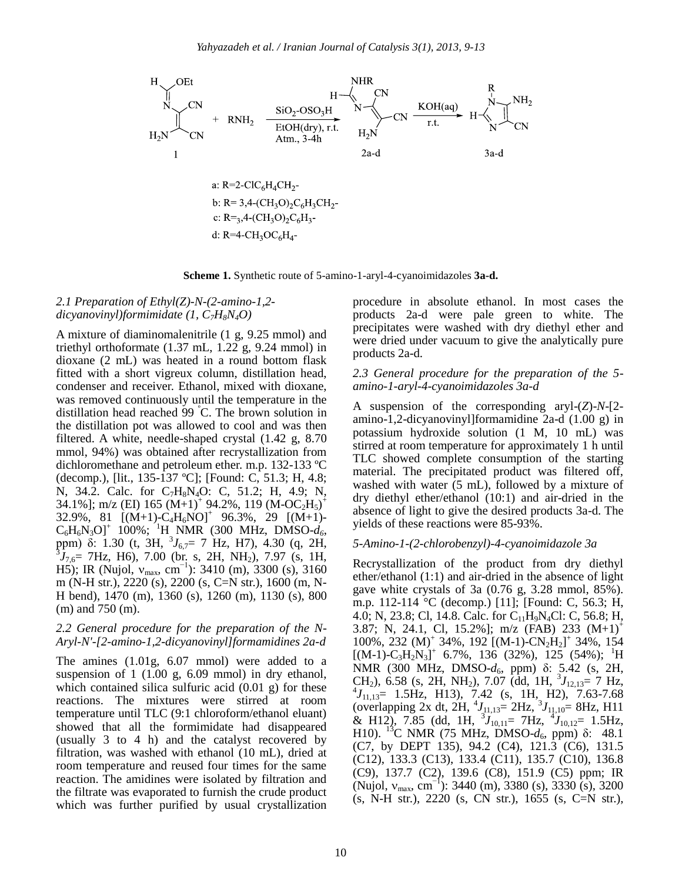

**Scheme 1.** Synthetic route of 5-amino-1-aryl-4-cyanoimidazoles **3a-d.**

#### *2.1 Preparation of Ethyl(Z)-N-(2-amino-1,2 dicyanovinyl)formimidate (1, C7H8N4O)*

A mixture of diaminomalenitrile (1 g, 9.25 mmol) and triethyl orthoformate (1.37 mL, 1.22 g, 9.24 mmol) in dioxane (2 mL) was heated in a round bottom flask fitted with a short vigreux column, distillation head, condenser and receiver. Ethanol, mixed with dioxane, was removed continuously until the temperature in the distillation head reached 99 <sup>º</sup>C. The brown solution in the distillation pot was allowed to cool and was then filtered. A white, needle-shaped crystal (1.42 g, 8.70 mmol, 94%) was obtained after recrystallization from dichloromethane and petroleum ether. m.p. 132-133 ºC (decomp.), [lit., 135-137 ºC]; [Found: C, 51.3; H, 4.8; N, 34.2. Calc. for C7H8N4O: C, 51.2; H, 4.9; N, 34.1%]; m/z (EI) 165 (M+1)<sup>+</sup> 94.2%, 119 (M-OC<sub>2</sub>H<sub>5</sub>)<sup>+</sup>  $32.9\%$ , 81  $[(M+1)-C_4H_6NO]^+$  96.3%, 29  $[(M+1)-C_4H_6]$  $C_6H_6N_3O$ <sup>+</sup> 100%; <sup>1</sup>H NMR (300 MHz, DMSO- $d_6$ , ppm)  $\delta$ : 1.30 (t, 3H,  ${}^{3}J_{6,7}=$  7 Hz, H7), 4.30 (q, 2H,  ${}^{3}J_{7,6}$  7Hz, H6), 7.00 (br. s, 2H, NH<sub>2</sub>), 7.97 (s, 1H, H5); IR (Nujol,  $v_{\text{max}}$ , cm<sup>-1</sup>): 3410 (m), 3300 (s), 3160 m (N-H str.), 2220 (s), 2200 (s, C=N str.), 1600 (m, N-H bend), 1470 (m), 1360 (s), 1260 (m), 1130 (s), 800 (m) and 750 (m).

#### *2.2 General procedure for the preparation of the N-Aryl-N'-[2-amino-1,2-dicyanovinyl]formamidines 2a-d*

The amines (1.01g, 6.07 mmol) were added to a suspension of 1 (1.00 g, 6.09 mmol) in dry ethanol, which contained silica sulfuric acid (0.01 g) for these reactions. The mixtures were stirred at room temperature until TLC (9:1 chloroform/ethanol eluant) showed that all the formimidate had disappeared (usually 3 to 4 h) and the catalyst recovered by filtration, was washed with ethanol (10 mL), dried at room temperature and reused four times for the same reaction. The amidines were isolated by filtration and the filtrate was evaporated to furnish the crude product which was further purified by usual crystallization procedure in absolute ethanol. In most cases the products 2a-d were pale green to white. The precipitates were washed with dry diethyl ether and were dried under vacuum to give the analytically pure products 2a-d.

#### *2.3 General procedure for the preparation of the 5 amino-1-aryl-4-cyanoimidazoles 3a-d*

A suspension of the corresponding aryl-(*Z*)-*N*-[2 amino-1,2-dicyanovinyl]formamidine 2a-d (1.00 g) in potassium hydroxide solution (1 M, 10 mL) was stirred at room temperature for approximately 1 h until TLC showed complete consumption of the starting material. The precipitated product was filtered off, washed with water (5 mL), followed by a mixture of dry diethyl ether/ethanol (10:1) and air-dried in the absence of light to give the desired products 3a-d. The yields of these reactions were 85-93%.

#### *5-Amino-1-(2-chlorobenzyl)-4-cyanoimidazole 3a*

Recrystallization of the product from dry diethyl ether/ethanol (1:1) and air-dried in the absence of light gave white crystals of 3a (0.76 g, 3.28 mmol, 85%). m.p. 112-114 °C (decomp.) [11]; [Found: C, 56.3; H, 4.0; N, 23.8; Cl, 14.8. Calc. for C11H9N4Cl: C, 56.8; H, 3.87; N, 24.1, Cl, 15.2%]; m/z (FAB) 233 (M+1)<sup>+</sup> 100%, 232 (M)<sup>+</sup> 34%, 192 [(M-1)-CN<sub>2</sub>H<sub>2</sub>]<sup>+</sup> 34%, 154  $[(M-1)-C<sub>3</sub>H<sub>2</sub>N<sub>3</sub>]<sup>+</sup>$  6.7%, 136 (32%), 125 (54%); <sup>1</sup>H NMR (300 MHz, DMSO-*d*6, ppm) δ: 5.42 (s, 2H, CH<sub>2</sub>), 6.58 (s, 2H, NH<sub>2</sub>), 7.07 (dd, 1H,  ${}^{3}J_{12,13}=$  7 Hz,  $^{4}J_{11,13}$  = 1.5Hz, H13), 7.42 (s, 1H, H2), 7.63-7.68 (overlapping 2x dt, 2H,  $^{4}J_{11,13}=2$  Hz,  $^{3}J_{11,10}=8$  Hz, H11 & H12), 7.85 (dd, 1H,  ${}^{3}J_{10,11}$  = 7Hz,  ${}^{4}J_{10,12}$  = 1.5Hz, H10). <sup>13</sup>C NMR (75 MHz, DMSO- $d_6$ , ppm) δ: 48.1 (C7, by DEPT 135), 94.2 (C4), 121.3 (C6), 131.5 (C12), 133.3 (C13), 133.4 (C11), 135.7 (C10), 136.8 (C9), 137.7 (C2), 139.6 (C8), 151.9 (C5) ppm; IR (Nujol,  $v_{max}$ , cm<sup>-1</sup>): 3440 (m), 3380 (s), 3330 (s), 3200 (s, N-H str.), 2220 (s, CN str.), 1655 (s, C=N str.),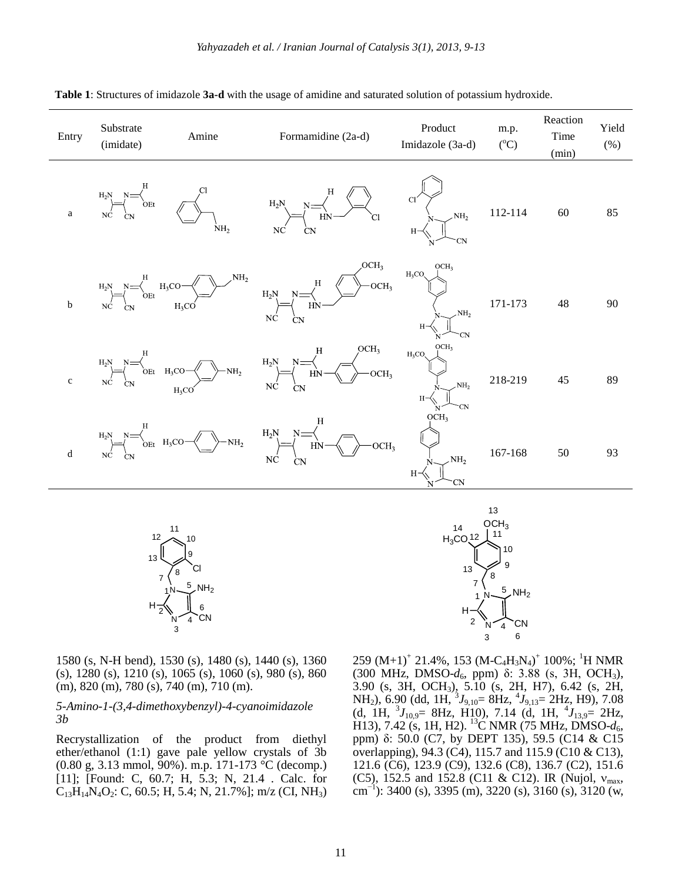| Entry        | Substrate<br>(imidate) | Amine           | Formamidine (2a-d)                                                                                                                                                                                                                                                                                                                           | Product<br>Imidazole (3a-d) | m.p.<br>$({}^{\circ}C)$ | Reaction<br>Time<br>(min) | Yield<br>$(\%)$ |
|--------------|------------------------|-----------------|----------------------------------------------------------------------------------------------------------------------------------------------------------------------------------------------------------------------------------------------------------------------------------------------------------------------------------------------|-----------------------------|-------------------------|---------------------------|-----------------|
| $\mathbf{a}$ |                        | NH <sub>2</sub> | $H_2N \longrightarrow C_N$<br>NC CN $C_N$ CO CN $H_2N \longrightarrow C_N$ $H_3N \longrightarrow C_N$ CO CN $N \longrightarrow N$ $H_2$                                                                                                                                                                                                      |                             | $112 - 114$             | 60                        | 85              |
| $\mathbf b$  |                        |                 | $\begin{picture}(150,10) \put(0,0){\line(1,0){150}} \put(15,0){\line(1,0){150}} \put(15,0){\line(1,0){150}} \put(15,0){\line(1,0){150}} \put(15,0){\line(1,0){150}} \put(15,0){\line(1,0){150}} \put(15,0){\line(1,0){150}} \put(15,0){\line(1,0){150}} \put(15,0){\line(1,0){150}} \put(15,0){\line(1,0){150}} \put(15,0){\line(1,0){150}}$ |                             | $171 - 173$             | 48                        | 90              |
| $\mathbf c$  |                        |                 | $\begin{picture}(150,10) \put(0,0){\line(1,0){150}} \put(15,0){\line(1,0){150}} \put(15,0){\line(1,0){150}} \put(15,0){\line(1,0){150}} \put(15,0){\line(1,0){150}} \put(15,0){\line(1,0){150}} \put(15,0){\line(1,0){150}} \put(15,0){\line(1,0){150}} \put(15,0){\line(1,0){150}} \put(15,0){\line(1,0){150}} \put(15,0){\line(1,0){150}}$ |                             | 218-219                 | 45                        | 89              |
| $\mathbf d$  |                        |                 | $\begin{picture}(120,140)(-10,0) \put(0,0){\line(1,0){150}} \put(10,0){\line(1,0){150}} \put(10,0){\line(1,0){150}} \put(10,0){\line(1,0){150}} \put(10,0){\line(1,0){150}} \put(10,0){\line(1,0){150}} \put(10,0){\line(1,0){150}} \put(10,0){\line(1,0){150}} \put(10,0){\line(1,0){150}} \put(10,0){\line(1,0){150}} \put(10,0){\line(1$  | OCH <sub>3</sub>            | 167-168                 | 50                        | 93              |

**Table 1**: Structures of imidazole **3a-d** with the usage of amidine and saturated solution of potassium hydroxide.



N  $~\mathsf{NH}_2~$ CN H 12 | <sup>11</sup> 10 7 8 9 13 4 3 2 5 6  $OCH<sub>3</sub>$  $_{\rm H_3CO_2}$ 1 14

13

1580 (s, N-H bend), 1530 (s), 1480 (s), 1440 (s), 1360 (s), 1280 (s), 1210 (s), 1065 (s), 1060 (s), 980 (s), 860 (m), 820 (m), 780 (s), 740 (m), 710 (m).

#### *5-Amino-1-(3,4-dimethoxybenzyl)-4-cyanoimidazole 3b*

Recrystallization of the product from diethyl ether/ethanol (1:1) gave pale yellow crystals of 3b (0.80 g, 3.13 mmol, 90%). m.p. 171-173 °C (decomp.) [11]; [Found: C, 60.7; H, 5.3; N, 21.4 . Calc. for  $C_{13}H_{14}N_4O_2$ : C, 60.5; H, 5.4; N, 21.7%]; m/z (CI, NH<sub>3</sub>)

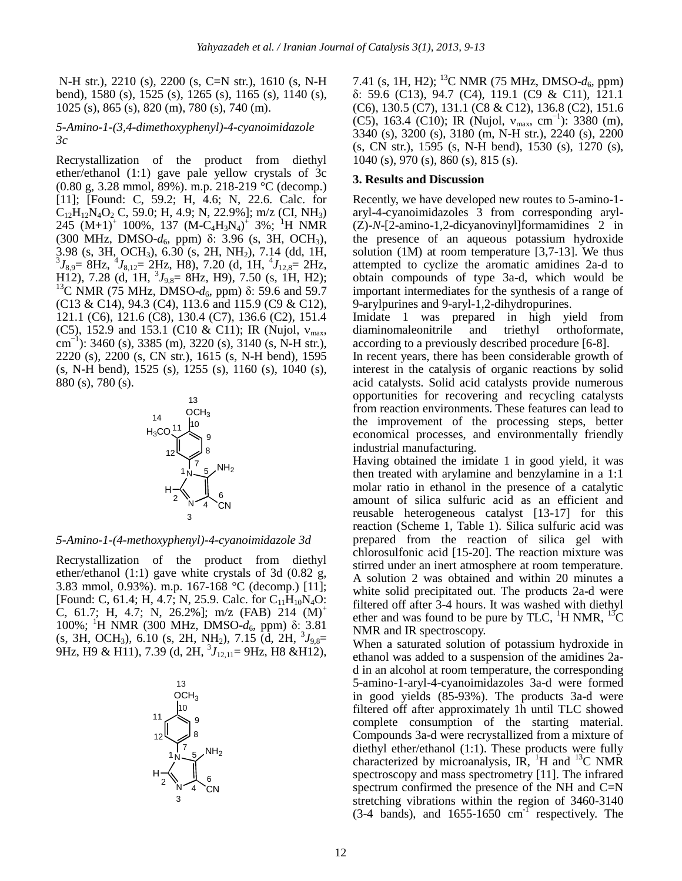N-H str.), 2210 (s), 2200 (s, C=N str.), 1610 (s, N-H bend), 1580 (s), 1525 (s), 1265 (s), 1165 (s), 1140 (s), 1025 (s), 865 (s), 820 (m), 780 (s), 740 (m).

#### *5-Amino-1-(3,4-dimethoxyphenyl)-4-cyanoimidazole 3c*

Recrystallization of the product from diethyl ether/ethanol (1:1) gave pale yellow crystals of 3c (0.80 g, 3.28 mmol, 89%). m.p. 218-219 °C (decomp.) [11]; [Found: C, 59.2; H, 4.6; N, 22.6. Calc. for  $C_{12}H_{12}N_4O_2 C$ , 59.0; H, 4.9; N, 22.9%]; m/z (CI, NH<sub>3</sub>)  $245$   $(M+1)^+$  100%, 137  $(M-C_4H_3N_4)^+$  3%; <sup>1</sup>H NMR (300 MHz, DMSO-d<sub>6</sub>, ppm) δ: 3.96 (s, 3H, OCH<sub>3</sub>), 3.98 (s, 3H, OCH<sub>3</sub>), 6.30 (s, 2H, NH<sub>2</sub>), 7.14 (dd, 1H, <sup>3</sup> $J_{8,9}$ = 8Hz, <sup>4</sup> $J_{8,12}$ = 2Hz, H8), 7.20 (d, 1H, <sup>4</sup> $J_{12,8}$ = 2Hz,  $\text{H}_{12}$ ), 7.28 (d, 1H,  $^{3}J_{9,8}$  = 8Hz, H9), 7.50 (s, 1H, H2); <sup>13</sup>C NMR (75 MHz, DMSO- $d_6$ , ppm) δ: 59.6 and 59.7 (C13 & C14), 94.3 (C4), 113.6 and 115.9 (C9 & C12), 121.1 (C6), 121.6 (C8), 130.4 (C7), 136.6 (C2), 151.4 (C5), 152.9 and 153.1 (C10 & C11); IR (Nujol,  $v_{\text{max}}$ , cm<sup>-1</sup>): 3460 (s), 3385 (m), 3220 (s), 3140 (s, N-H str.), 2220 (s), 2200 (s, CN str.), 1615 (s, N-H bend), 1595 (s, N-H bend), 1525 (s), 1255 (s), 1160 (s), 1040 (s), 880 (s), 780 (s).



*5-Amino-1-(4-methoxyphenyl)-4-cyanoimidazole 3d* 

Recrystallization of the product from diethyl ether/ethanol (1:1) gave white crystals of 3d (0.82 g, 3.83 mmol, 0.93%). m.p. 167-168 °C (decomp.) [11]; [Found: C, 61.4; H, 4.7; N, 25.9. Calc. for  $C_{11}H_{10}N_4O$ : C, 61.7; H, 4.7; N, 26.2%]; m/z (FAB) 214  $(M)^+$ 100%; <sup>1</sup>H NMR (300 MHz, DMSO-*d*6, ppm) δ: 3.81  $(s, 3H, OCH<sub>3</sub>), 6.10 (s, 2H, NH<sub>2</sub>), 7.15 (d, 2H, <sup>3</sup>J<sub>9,8</sub>=$ 9Hz, H9 & H11), 7.39 (d, 2H, <sup>3</sup> *J*12,11= 9Hz, H8 &H12),



7.41 (s, 1H, H2); <sup>13</sup>C NMR (75 MHz, DMSO- $d_6$ , ppm) δ: 59.6 (C13), 94.7 (C4), 119.1 (C9 & C11), 121.1 (C6), 130.5 (C7), 131.1 (C8 & C12), 136.8 (C2), 151.6 (C5), 163.4 (C10); IR (Nujol,  $v_{\text{max}}$ , cm<sup>-1</sup>): 3380 (m), 3340 (s), 3200 (s), 3180 (m, N-H str.), 2240 (s), 2200 (s, CN str.), 1595 (s, N-H bend), 1530 (s), 1270 (s), 1040 (s), 970 (s), 860 (s), 815 (s).

#### **3. Results and Discussion**

Recently, we have developed new routes to 5-amino-1 aryl-4-cyanoimidazoles 3 from corresponding aryl- (Z)-*N*-[2-amino-1,2-dicyanovinyl]formamidines 2 in the presence of an aqueous potassium hydroxide solution (1M) at room temperature [3,7-13]. We thus attempted to cyclize the aromatic amidines 2a-d to obtain compounds of type 3a-d, which would be important intermediates for the synthesis of a range of 9-arylpurines and 9-aryl-1,2-dihydropurines.

Imidate 1 was prepared in high yield from diaminomaleonitrile and triethyl orthoformate, according to a previously described procedure [6-8].

In recent years, there has been considerable growth of interest in the catalysis of organic reactions by solid acid catalysts. Solid acid catalysts provide numerous opportunities for recovering and recycling catalysts from reaction environments. These features can lead to the improvement of the processing steps, better economical processes, and environmentally friendly industrial manufacturing.

Having obtained the imidate 1 in good yield, it was then treated with arylamine and benzylamine in a 1:1 molar ratio in ethanol in the presence of a catalytic amount of silica sulfuric acid as an efficient and reusable heterogeneous catalyst [13-17] for this reaction (Scheme 1, Table 1). Silica sulfuric acid was prepared from the reaction of silica gel with chlorosulfonic acid [15-20]. The reaction mixture was stirred under an inert atmosphere at room temperature. A solution 2 was obtained and within 20 minutes a white solid precipitated out. The products 2a-d were filtered off after 3-4 hours. It was washed with diethyl ether and was found to be pure by TLC,  ${}^{1}$ H NMR,  ${}^{13}$ C NMR and IR spectroscopy.

When a saturated solution of potassium hydroxide in ethanol was added to a suspension of the amidines 2ad in an alcohol at room temperature, the corresponding 5-amino-1-aryl-4-cyanoimidazoles 3a-d were formed in good yields (85-93%). The products 3a-d were filtered off after approximately 1h until TLC showed complete consumption of the starting material. Compounds 3a-d were recrystallized from a mixture of diethyl ether/ethanol (1:1). These products were fully characterized by microanalysis, IR,  $^{1}$ H and  $^{13}$ C NMR spectroscopy and mass spectrometry [11]. The infrared spectrum confirmed the presence of the NH and C=N stretching vibrations within the region of 3460-3140  $(3-4 \text{ bands})$ , and  $1655-1650 \text{ cm}^{-1}$  respectively. The